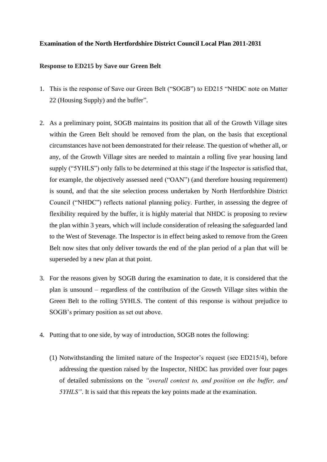## **Examination of the North Hertfordshire District Council Local Plan 2011-2031**

## **Response to ED215 by Save our Green Belt**

- 1. This is the response of Save our Green Belt ("SOGB") to ED215 "NHDC note on Matter 22 (Housing Supply) and the buffer".
- 2. As a preliminary point, SOGB maintains its position that all of the Growth Village sites within the Green Belt should be removed from the plan, on the basis that exceptional circumstances have not been demonstrated for their release. The question of whether all, or any, of the Growth Village sites are needed to maintain a rolling five year housing land supply ("5YHLS") only falls to be determined at this stage if the Inspector is satisfied that, for example, the objectively assessed need ("OAN") (and therefore housing requirement) is sound, and that the site selection process undertaken by North Hertfordshire District Council ("NHDC") reflects national planning policy. Further, in assessing the degree of flexibility required by the buffer, it is highly material that NHDC is proposing to review the plan within 3 years, which will include consideration of releasing the safeguarded land to the West of Stevenage. The Inspector is in effect being asked to remove from the Green Belt now sites that only deliver towards the end of the plan period of a plan that will be superseded by a new plan at that point.
- 3. For the reasons given by SOGB during the examination to date, it is considered that the plan is unsound – regardless of the contribution of the Growth Village sites within the Green Belt to the rolling 5YHLS. The content of this response is without prejudice to SOGB's primary position as set out above.
- 4. Putting that to one side, by way of introduction, SOGB notes the following:
	- (1) Notwithstanding the limited nature of the Inspector's request (see ED215/4), before addressing the question raised by the Inspector, NHDC has provided over four pages of detailed submissions on the *"overall context to, and position on the buffer, and 5YHLS"*. It is said that this repeats the key points made at the examination.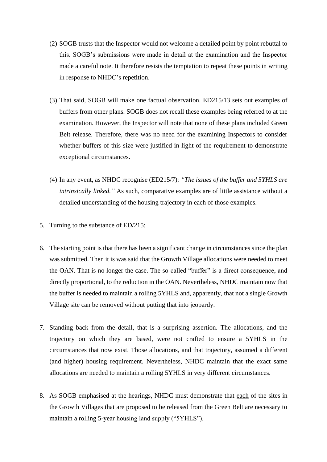- (2) SOGB trusts that the Inspector would not welcome a detailed point by point rebuttal to this. SOGB's submissions were made in detail at the examination and the Inspector made a careful note. It therefore resists the temptation to repeat these points in writing in response to NHDC's repetition.
- (3) That said, SOGB will make one factual observation. ED215/13 sets out examples of buffers from other plans. SOGB does not recall these examples being referred to at the examination. However, the Inspector will note that none of these plans included Green Belt release. Therefore, there was no need for the examining Inspectors to consider whether buffers of this size were justified in light of the requirement to demonstrate exceptional circumstances.
- (4) In any event, as NHDC recognise (ED215/7): *"The issues of the buffer and 5YHLS are intrinsically linked.*" As such, comparative examples are of little assistance without a detailed understanding of the housing trajectory in each of those examples.
- 5. Turning to the substance of ED/215:
- 6. The starting point is that there has been a significant change in circumstances since the plan was submitted. Then it is was said that the Growth Village allocations were needed to meet the OAN. That is no longer the case. The so-called "buffer" is a direct consequence, and directly proportional, to the reduction in the OAN. Nevertheless, NHDC maintain now that the buffer is needed to maintain a rolling 5YHLS and, apparently, that not a single Growth Village site can be removed without putting that into jeopardy.
- 7. Standing back from the detail, that is a surprising assertion. The allocations, and the trajectory on which they are based, were not crafted to ensure a 5YHLS in the circumstances that now exist. Those allocations, and that trajectory, assumed a different (and higher) housing requirement. Nevertheless, NHDC maintain that the exact same allocations are needed to maintain a rolling 5YHLS in very different circumstances.
- 8. As SOGB emphasised at the hearings, NHDC must demonstrate that each of the sites in the Growth Villages that are proposed to be released from the Green Belt are necessary to maintain a rolling 5-year housing land supply ("5YHLS").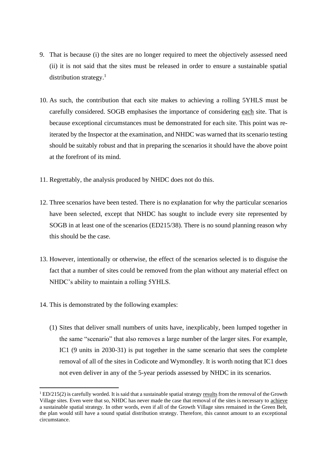- 9. That is because (i) the sites are no longer required to meet the objectively assessed need (ii) it is not said that the sites must be released in order to ensure a sustainable spatial distribution strategy.<sup>1</sup>
- 10. As such, the contribution that each site makes to achieving a rolling 5YHLS must be carefully considered. SOGB emphasises the importance of considering each site. That is because exceptional circumstances must be demonstrated for each site. This point was reiterated by the Inspector at the examination, and NHDC was warned that its scenario testing should be suitably robust and that in preparing the scenarios it should have the above point at the forefront of its mind.
- 11. Regrettably, the analysis produced by NHDC does not do this.
- 12. Three scenarios have been tested. There is no explanation for why the particular scenarios have been selected, except that NHDC has sought to include every site represented by SOGB in at least one of the scenarios (ED215/38). There is no sound planning reason why this should be the case.
- 13. However, intentionally or otherwise, the effect of the scenarios selected is to disguise the fact that a number of sites could be removed from the plan without any material effect on NHDC's ability to maintain a rolling 5YHLS.
- 14. This is demonstrated by the following examples:
	- (1) Sites that deliver small numbers of units have, inexplicably, been lumped together in the same "scenario" that also removes a large number of the larger sites. For example, IC1 (9 units in 2030-31) is put together in the same scenario that sees the complete removal of all of the sites in Codicote and Wymondley. It is worth noting that IC1 does not even deliver in any of the 5-year periods assessed by NHDC in its scenarios.

 $1 \text{ED}/215(2)$  is carefully worded. It is said that a sustainable spatial strategy results from the removal of the Growth Village sites. Even were that so, NHDC has never made the case that removal of the sites is necessary to achieve a sustainable spatial strategy. In other words, even if all of the Growth Village sites remained in the Green Belt, the plan would still have a sound spatial distribution strategy. Therefore, this cannot amount to an exceptional circumstance.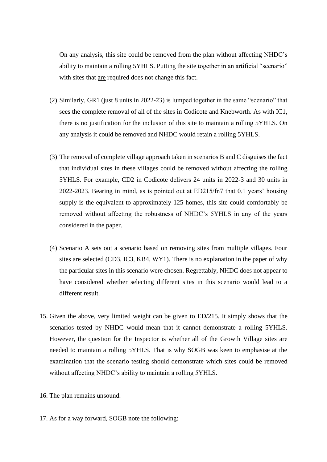On any analysis, this site could be removed from the plan without affecting NHDC's ability to maintain a rolling 5YHLS. Putting the site together in an artificial "scenario" with sites that are required does not change this fact.

- (2) Similarly, GR1 (just 8 units in 2022-23) is lumped together in the same "scenario" that sees the complete removal of all of the sites in Codicote and Knebworth. As with IC1, there is no justification for the inclusion of this site to maintain a rolling 5YHLS. On any analysis it could be removed and NHDC would retain a rolling 5YHLS.
- (3) The removal of complete village approach taken in scenarios B and C disguises the fact that individual sites in these villages could be removed without affecting the rolling 5YHLS. For example, CD2 in Codicote delivers 24 units in 2022-3 and 30 units in 2022-2023. Bearing in mind, as is pointed out at ED215/fn7 that 0.1 years' housing supply is the equivalent to approximately 125 homes, this site could comfortably be removed without affecting the robustness of NHDC's 5YHLS in any of the years considered in the paper.
- (4) Scenario A sets out a scenario based on removing sites from multiple villages. Four sites are selected (CD3, IC3, KB4, WY1). There is no explanation in the paper of why the particular sites in this scenario were chosen. Regrettably, NHDC does not appear to have considered whether selecting different sites in this scenario would lead to a different result.
- 15. Given the above, very limited weight can be given to ED/215. It simply shows that the scenarios tested by NHDC would mean that it cannot demonstrate a rolling 5YHLS. However, the question for the Inspector is whether all of the Growth Village sites are needed to maintain a rolling 5YHLS. That is why SOGB was keen to emphasise at the examination that the scenario testing should demonstrate which sites could be removed without affecting NHDC's ability to maintain a rolling 5YHLS.
- 16. The plan remains unsound.
- 17. As for a way forward, SOGB note the following: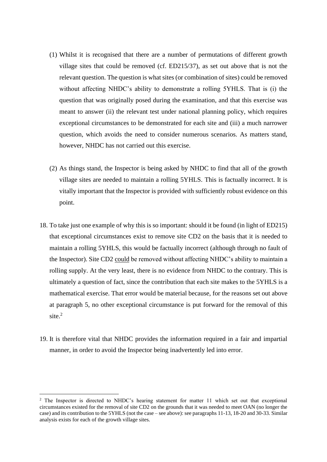- (1) Whilst it is recognised that there are a number of permutations of different growth village sites that could be removed (cf. ED215/37), as set out above that is not the relevant question. The question is what sites (or combination of sites) could be removed without affecting NHDC's ability to demonstrate a rolling 5YHLS. That is (i) the question that was originally posed during the examination, and that this exercise was meant to answer (ii) the relevant test under national planning policy, which requires exceptional circumstances to be demonstrated for each site and (iii) a much narrower question, which avoids the need to consider numerous scenarios. As matters stand, however, NHDC has not carried out this exercise.
- (2) As things stand, the Inspector is being asked by NHDC to find that all of the growth village sites are needed to maintain a rolling 5YHLS. This is factually incorrect. It is vitally important that the Inspector is provided with sufficiently robust evidence on this point.
- 18. To take just one example of why this is so important: should it be found (in light of ED215) that exceptional circumstances exist to remove site CD2 on the basis that it is needed to maintain a rolling 5YHLS, this would be factually incorrect (although through no fault of the Inspector). Site CD2 could be removed without affecting NHDC's ability to maintain a rolling supply. At the very least, there is no evidence from NHDC to the contrary. This is ultimately a question of fact, since the contribution that each site makes to the 5YHLS is a mathematical exercise. That error would be material because, for the reasons set out above at paragraph 5, no other exceptional circumstance is put forward for the removal of this site. $2$
- 19. It is therefore vital that NHDC provides the information required in a fair and impartial manner, in order to avoid the Inspector being inadvertently led into error.

<sup>&</sup>lt;sup>2</sup> The Inspector is directed to NHDC's hearing statement for matter 11 which set out that exceptional circumstances existed for the removal of site CD2 on the grounds that it was needed to meet OAN (no longer the case) and its contribution to the 5YHLS (not the case – see above): see paragraphs 11-13, 18-20 and 30-33. Similar analysis exists for each of the growth village sites.